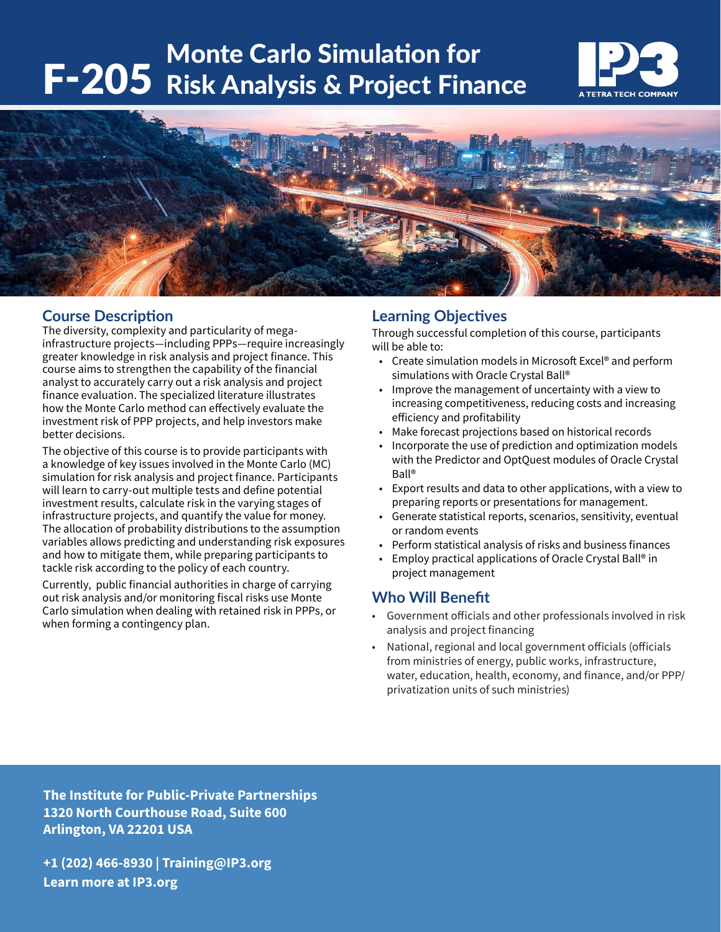# F-205 Risk Analysis & Project Finance Monte Carlo Simulation for





## **Course Description**

The diversity, complexity and particularity of megainfrastructure projects—including PPPs—require increasingly greater knowledge in risk analysis and project finance. This course aims to strengthen the capability of the financial analyst to accurately carry out a risk analysis and project finance evaluation. The specialized literature illustrates how the Monte Carlo method can effectively evaluate the investment risk of PPP projects, and help investors make better decisions.

The objective of this course is to provide participants with a knowledge of key issues involved in the Monte Carlo (MC) simulation for risk analysis and project finance. Participants will learn to carry-out multiple tests and define potential investment results, calculate risk in the varying stages of infrastructure projects, and quantify the value for money. The allocation of probability distributions to the assumption variables allows predicting and understanding risk exposures and how to mitigate them, while preparing participants to tackle risk according to the policy of each country.

Currently, public financial authorities in charge of carrying out risk analysis and/or monitoring fiscal risks use Monte Carlo simulation when dealing with retained risk in PPPs, or when forming a contingency plan.

## **Learning Objectives**

Through successful completion of this course, participants will be able to:

- Create simulation models in Microsoft Excel® and perform simulations with Oracle Crystal Ball®
- Improve the management of uncertainty with a view to increasing competitiveness, reducing costs and increasing efficiency and profitability
- Make forecast projections based on historical records
- Incorporate the use of prediction and optimization models with the Predictor and OptQuest modules of Oracle Crystal Ball®
- Export results and data to other applications, with a view to preparing reports or presentations for management.
- Generate statistical reports, scenarios, sensitivity, eventual or random events
- Perform statistical analysis of risks and business finances
- Employ practical applications of Oracle Crystal Ball® in project management

# **Who Will Benefit**

- Government officials and other professionals involved in risk analysis and project financing
- National, regional and local government officials (officials from ministries of energy, public works, infrastructure, water, education, health, economy, and finance, and/or PPP/ privatization units of such ministries)

**The Institute for Public-Private Partnerships 1320 North Courthouse Road, Suite 600 Arlington, VA 22201 USA**

**+1 (202) 466-8930 | Training@IP3.org Learn more at IP3.org**